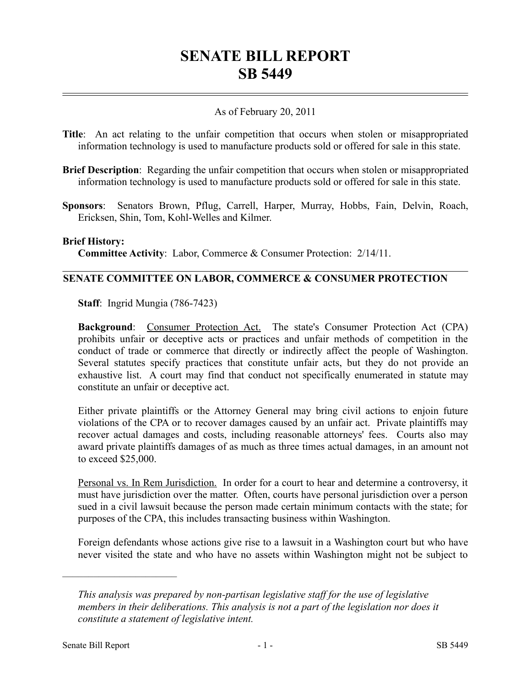# **SENATE BILL REPORT SB 5449**

## As of February 20, 2011

- **Title**: An act relating to the unfair competition that occurs when stolen or misappropriated information technology is used to manufacture products sold or offered for sale in this state.
- **Brief Description**: Regarding the unfair competition that occurs when stolen or misappropriated information technology is used to manufacture products sold or offered for sale in this state.
- **Sponsors**: Senators Brown, Pflug, Carrell, Harper, Murray, Hobbs, Fain, Delvin, Roach, Ericksen, Shin, Tom, Kohl-Welles and Kilmer.

#### **Brief History:**

**Committee Activity**: Labor, Commerce & Consumer Protection: 2/14/11.

#### **SENATE COMMITTEE ON LABOR, COMMERCE & CONSUMER PROTECTION**

**Staff**: Ingrid Mungia (786-7423)

**Background**: Consumer Protection Act. The state's Consumer Protection Act (CPA) prohibits unfair or deceptive acts or practices and unfair methods of competition in the conduct of trade or commerce that directly or indirectly affect the people of Washington. Several statutes specify practices that constitute unfair acts, but they do not provide an exhaustive list. A court may find that conduct not specifically enumerated in statute may constitute an unfair or deceptive act.

Either private plaintiffs or the Attorney General may bring civil actions to enjoin future violations of the CPA or to recover damages caused by an unfair act. Private plaintiffs may recover actual damages and costs, including reasonable attorneys' fees. Courts also may award private plaintiffs damages of as much as three times actual damages, in an amount not to exceed \$25,000.

Personal vs. In Rem Jurisdiction. In order for a court to hear and determine a controversy, it must have jurisdiction over the matter. Often, courts have personal jurisdiction over a person sued in a civil lawsuit because the person made certain minimum contacts with the state; for purposes of the CPA, this includes transacting business within Washington.

Foreign defendants whose actions give rise to a lawsuit in a Washington court but who have never visited the state and who have no assets within Washington might not be subject to

––––––––––––––––––––––

*This analysis was prepared by non-partisan legislative staff for the use of legislative members in their deliberations. This analysis is not a part of the legislation nor does it constitute a statement of legislative intent.*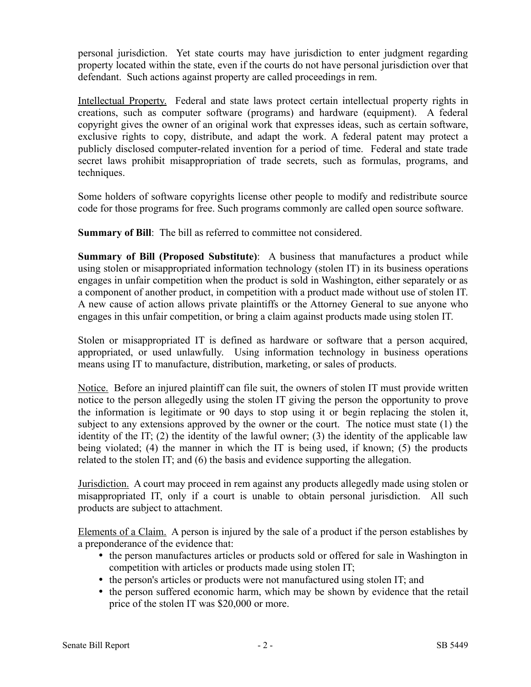personal jurisdiction. Yet state courts may have jurisdiction to enter judgment regarding property located within the state, even if the courts do not have personal jurisdiction over that defendant. Such actions against property are called proceedings in rem.

Intellectual Property. Federal and state laws protect certain intellectual property rights in creations, such as computer software (programs) and hardware (equipment). A federal copyright gives the owner of an original work that expresses ideas, such as certain software, exclusive rights to copy, distribute, and adapt the work. A federal patent may protect a publicly disclosed computer-related invention for a period of time. Federal and state trade secret laws prohibit misappropriation of trade secrets, such as formulas, programs, and techniques.

Some holders of software copyrights license other people to modify and redistribute source code for those programs for free. Such programs commonly are called open source software.

**Summary of Bill:** The bill as referred to committee not considered.

**Summary of Bill (Proposed Substitute)**: A business that manufactures a product while using stolen or misappropriated information technology (stolen IT) in its business operations engages in unfair competition when the product is sold in Washington, either separately or as a component of another product, in competition with a product made without use of stolen IT. A new cause of action allows private plaintiffs or the Attorney General to sue anyone who engages in this unfair competition, or bring a claim against products made using stolen IT.

Stolen or misappropriated IT is defined as hardware or software that a person acquired, appropriated, or used unlawfully. Using information technology in business operations means using IT to manufacture, distribution, marketing, or sales of products.

Notice. Before an injured plaintiff can file suit, the owners of stolen IT must provide written notice to the person allegedly using the stolen IT giving the person the opportunity to prove the information is legitimate or 90 days to stop using it or begin replacing the stolen it, subject to any extensions approved by the owner or the court. The notice must state (1) the identity of the IT; (2) the identity of the lawful owner; (3) the identity of the applicable law being violated; (4) the manner in which the IT is being used, if known; (5) the products related to the stolen IT; and (6) the basis and evidence supporting the allegation.

Jurisdiction. A court may proceed in rem against any products allegedly made using stolen or misappropriated IT, only if a court is unable to obtain personal jurisdiction. All such products are subject to attachment.

Elements of a Claim. A person is injured by the sale of a product if the person establishes by a preponderance of the evidence that:

- the person manufactures articles or products sold or offered for sale in Washington in competition with articles or products made using stolen IT;
- the person's articles or products were not manufactured using stolen IT; and
- the person suffered economic harm, which may be shown by evidence that the retail price of the stolen IT was \$20,000 or more.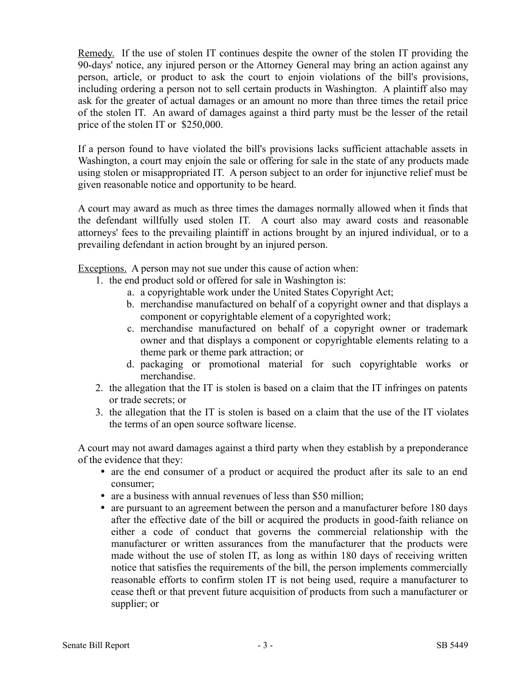Remedy. If the use of stolen IT continues despite the owner of the stolen IT providing the 90-days' notice, any injured person or the Attorney General may bring an action against any person, article, or product to ask the court to enjoin violations of the bill's provisions, including ordering a person not to sell certain products in Washington. A plaintiff also may ask for the greater of actual damages or an amount no more than three times the retail price of the stolen IT. An award of damages against a third party must be the lesser of the retail price of the stolen IT or \$250,000.

If a person found to have violated the bill's provisions lacks sufficient attachable assets in Washington, a court may enjoin the sale or offering for sale in the state of any products made using stolen or misappropriated IT. A person subject to an order for injunctive relief must be given reasonable notice and opportunity to be heard.

A court may award as much as three times the damages normally allowed when it finds that the defendant willfully used stolen IT. A court also may award costs and reasonable attorneys' fees to the prevailing plaintiff in actions brought by an injured individual, or to a prevailing defendant in action brought by an injured person.

Exceptions. A person may not sue under this cause of action when:

- 1. the end product sold or offered for sale in Washington is:
	- a. a copyrightable work under the United States Copyright Act;
	- b. merchandise manufactured on behalf of a copyright owner and that displays a component or copyrightable element of a copyrighted work;
	- c. merchandise manufactured on behalf of a copyright owner or trademark owner and that displays a component or copyrightable elements relating to a theme park or theme park attraction; or
	- d. packaging or promotional material for such copyrightable works or merchandise.
- 2. the allegation that the IT is stolen is based on a claim that the IT infringes on patents or trade secrets; or
- 3. the allegation that the IT is stolen is based on a claim that the use of the IT violates the terms of an open source software license.

A court may not award damages against a third party when they establish by a preponderance of the evidence that they:

- are the end consumer of a product or acquired the product after its sale to an end consumer;
- are a business with annual revenues of less than \$50 million;
- are pursuant to an agreement between the person and a manufacturer before 180 days after the effective date of the bill or acquired the products in good-faith reliance on either a code of conduct that governs the commercial relationship with the manufacturer or written assurances from the manufacturer that the products were made without the use of stolen IT, as long as within 180 days of receiving written notice that satisfies the requirements of the bill, the person implements commercially reasonable efforts to confirm stolen IT is not being used, require a manufacturer to cease theft or that prevent future acquisition of products from such a manufacturer or supplier; or